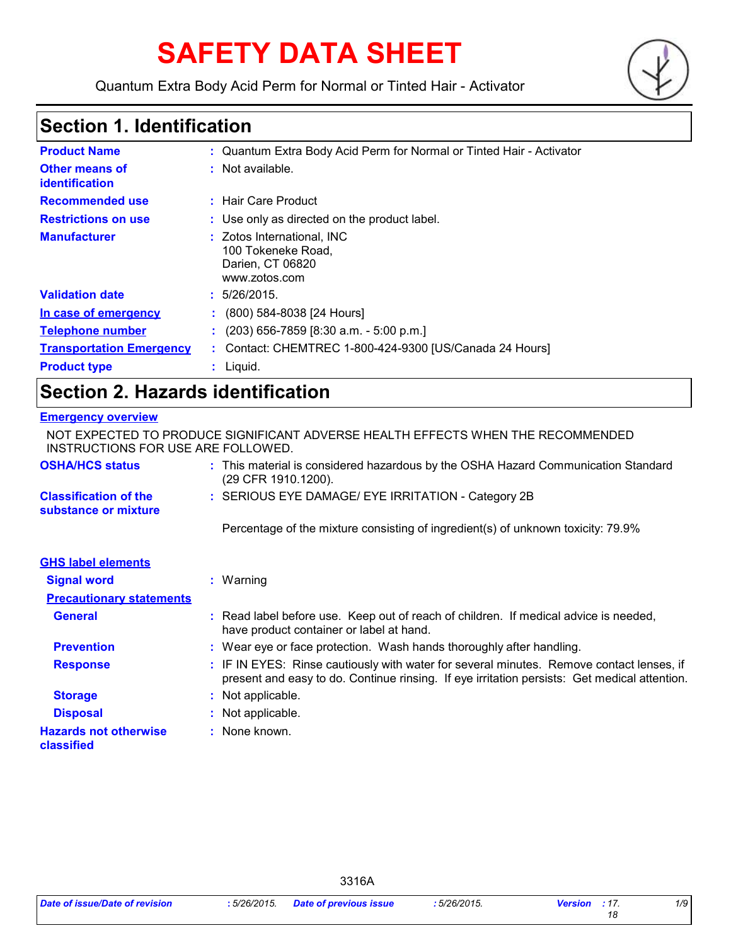# **SAFETY DATA SHEET**

Quantum Extra Body Acid Perm for Normal or Tinted Hair - Activator



# **Section 1. Identification**

| <b>Product Name</b>                     | : Quantum Extra Body Acid Perm for Normal or Tinted Hair - Activator                  |
|-----------------------------------------|---------------------------------------------------------------------------------------|
| <b>Other means of</b><br>identification | : Not available.                                                                      |
| <b>Recommended use</b>                  | : Hair Care Product                                                                   |
| <b>Restrictions on use</b>              | : Use only as directed on the product label.                                          |
| <b>Manufacturer</b>                     | : Zotos International, INC<br>100 Tokeneke Road,<br>Darien, CT 06820<br>www.zotos.com |
| <b>Validation date</b>                  | : 5/26/2015.                                                                          |
| In case of emergency                    | $\cdot$ (800) 584-8038 [24 Hours]                                                     |
| <b>Telephone number</b>                 | $(203)$ 656-7859 [8:30 a.m. - 5:00 p.m.]                                              |
| <b>Transportation Emergency</b>         | : Contact: CHEMTREC 1-800-424-9300 [US/Canada 24 Hours]                               |
| <b>Product type</b>                     | Liquid.                                                                               |

# **Section 2. Hazards identification**

### **Emergency overview**

| NOT EXPECTED TO PRODUCE SIGNIFICANT ADVERSE HEALTH EFFECTS WHEN THE RECOMMENDED<br>INSTRUCTIONS FOR USE ARE FOLLOWED. |  |                                                                                                                                                                                          |
|-----------------------------------------------------------------------------------------------------------------------|--|------------------------------------------------------------------------------------------------------------------------------------------------------------------------------------------|
| <b>OSHA/HCS status</b>                                                                                                |  | : This material is considered hazardous by the OSHA Hazard Communication Standard<br>(29 CFR 1910.1200).                                                                                 |
| <b>Classification of the</b><br>substance or mixture                                                                  |  | : SERIOUS EYE DAMAGE/ EYE IRRITATION - Category 2B                                                                                                                                       |
|                                                                                                                       |  | Percentage of the mixture consisting of ingredient(s) of unknown toxicity: 79.9%                                                                                                         |
| <b>GHS label elements</b>                                                                                             |  |                                                                                                                                                                                          |
| <b>Signal word</b>                                                                                                    |  | $:$ Warning                                                                                                                                                                              |
| <b>Precautionary statements</b>                                                                                       |  |                                                                                                                                                                                          |
| <b>General</b>                                                                                                        |  | : Read label before use. Keep out of reach of children. If medical advice is needed,<br>have product container or label at hand.                                                         |
| <b>Prevention</b>                                                                                                     |  | : Wear eye or face protection. Wash hands thoroughly after handling.                                                                                                                     |
| <b>Response</b>                                                                                                       |  | : IF IN EYES: Rinse cautiously with water for several minutes. Remove contact lenses, if<br>present and easy to do. Continue rinsing. If eye irritation persists: Get medical attention. |
| <b>Storage</b>                                                                                                        |  | : Not applicable.                                                                                                                                                                        |
| <b>Disposal</b>                                                                                                       |  | : Not applicable.                                                                                                                                                                        |
| <b>Hazards not otherwise</b><br>classified                                                                            |  | : None known.                                                                                                                                                                            |

3316A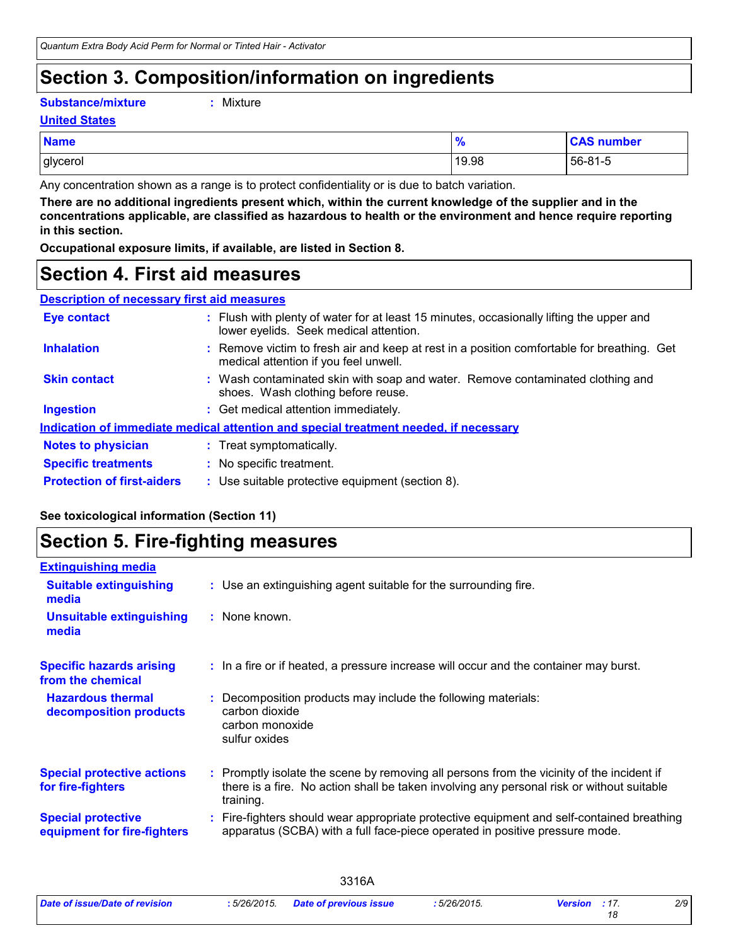# **Section 3. Composition/information on ingredients**

**Substance/mixture :**

: Mixture

#### **United States**

| <b>Name</b> | 70    | <b>CAS number</b> |
|-------------|-------|-------------------|
| glycerol    | 19.98 | $156 - 81 - 5$    |

Any concentration shown as a range is to protect confidentiality or is due to batch variation.

**There are no additional ingredients present which, within the current knowledge of the supplier and in the concentrations applicable, are classified as hazardous to health or the environment and hence require reporting in this section.**

**Occupational exposure limits, if available, are listed in Section 8.**

### **Section 4. First aid measures**

| <b>Description of necessary first aid measures</b> |                                                                                                                                     |  |
|----------------------------------------------------|-------------------------------------------------------------------------------------------------------------------------------------|--|
| <b>Eye contact</b>                                 | : Flush with plenty of water for at least 15 minutes, occasionally lifting the upper and<br>lower eyelids. Seek medical attention.  |  |
| <b>Inhalation</b>                                  | : Remove victim to fresh air and keep at rest in a position comfortable for breathing. Get<br>medical attention if you feel unwell. |  |
| <b>Skin contact</b>                                | : Wash contaminated skin with soap and water. Remove contaminated clothing and<br>shoes. Wash clothing before reuse.                |  |
| <b>Ingestion</b>                                   | : Get medical attention immediately.                                                                                                |  |
|                                                    | Indication of immediate medical attention and special treatment needed, if necessary                                                |  |
| <b>Notes to physician</b>                          | : Treat symptomatically.                                                                                                            |  |
| <b>Specific treatments</b>                         | : No specific treatment.                                                                                                            |  |
| <b>Protection of first-aiders</b>                  | : Use suitable protective equipment (section 8).                                                                                    |  |

### **See toxicological information (Section 11)**

### **Section 5. Fire-fighting measures**

| <b>Extinguishing media</b>                               |                                                                                                                                                                                                     |
|----------------------------------------------------------|-----------------------------------------------------------------------------------------------------------------------------------------------------------------------------------------------------|
| <b>Suitable extinguishing</b><br>media                   | : Use an extinguishing agent suitable for the surrounding fire.                                                                                                                                     |
| <b>Unsuitable extinguishing</b><br>media                 | : None known.                                                                                                                                                                                       |
| <b>Specific hazards arising</b><br>from the chemical     | : In a fire or if heated, a pressure increase will occur and the container may burst.                                                                                                               |
| <b>Hazardous thermal</b><br>decomposition products       | Decomposition products may include the following materials:<br>carbon dioxide<br>carbon monoxide<br>sulfur oxides                                                                                   |
| <b>Special protective actions</b><br>for fire-fighters   | : Promptly isolate the scene by removing all persons from the vicinity of the incident if<br>there is a fire. No action shall be taken involving any personal risk or without suitable<br>training. |
| <b>Special protective</b><br>equipment for fire-fighters | Fire-fighters should wear appropriate protective equipment and self-contained breathing<br>apparatus (SCBA) with a full face-piece operated in positive pressure mode.                              |

3316A

| Date of issue/Date of revision | :5/26/2015. | <b>Date of previous issue</b> |
|--------------------------------|-------------|-------------------------------|
|--------------------------------|-------------|-------------------------------|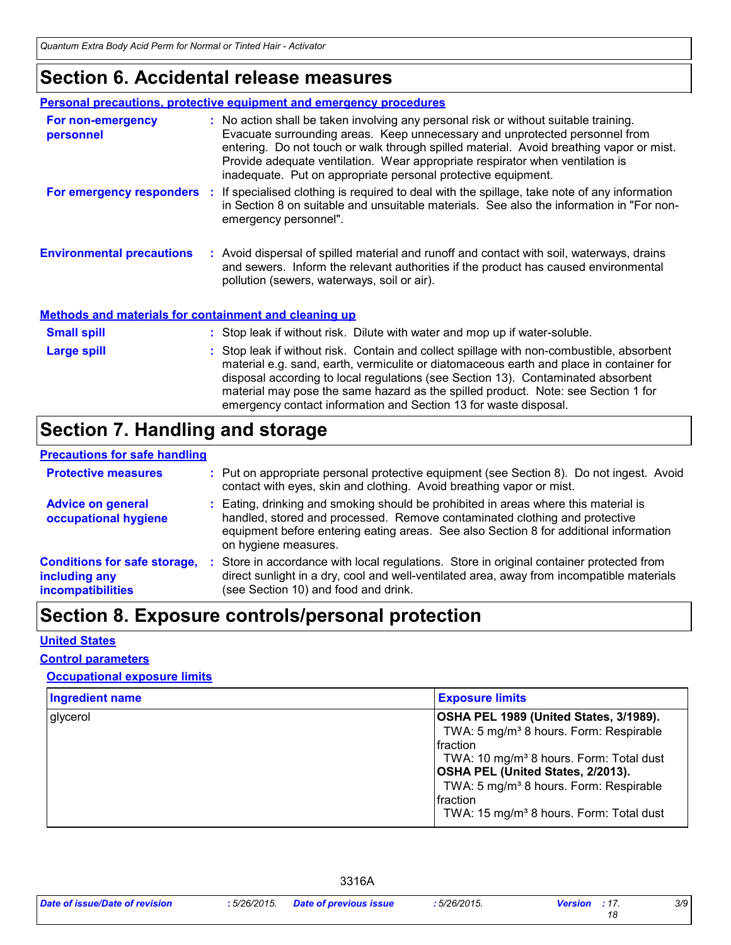# **Section 6. Accidental release measures**

| <b>Personal precautions, protective equipment and emergency procedures</b> |  |                                                                                                                                                                                                                                                                                                                                                                                                                  |
|----------------------------------------------------------------------------|--|------------------------------------------------------------------------------------------------------------------------------------------------------------------------------------------------------------------------------------------------------------------------------------------------------------------------------------------------------------------------------------------------------------------|
| For non-emergency<br>personnel                                             |  | : No action shall be taken involving any personal risk or without suitable training.<br>Evacuate surrounding areas. Keep unnecessary and unprotected personnel from<br>entering. Do not touch or walk through spilled material. Avoid breathing vapor or mist.<br>Provide adequate ventilation. Wear appropriate respirator when ventilation is<br>inadequate. Put on appropriate personal protective equipment. |
| For emergency responders :                                                 |  | If specialised clothing is required to deal with the spillage, take note of any information<br>in Section 8 on suitable and unsuitable materials. See also the information in "For non-<br>emergency personnel".                                                                                                                                                                                                 |
| <b>Environmental precautions</b>                                           |  | : Avoid dispersal of spilled material and runoff and contact with soil, waterways, drains<br>and sewers. Inform the relevant authorities if the product has caused environmental<br>pollution (sewers, waterways, soil or air).                                                                                                                                                                                  |

#### **Methods and materials for containment and cleaning up**

| <b>Small spill</b> | : Stop leak if without risk. Dilute with water and mop up if water-soluble.                                                                                                                                                                                                                                                                                                                                                       |
|--------------------|-----------------------------------------------------------------------------------------------------------------------------------------------------------------------------------------------------------------------------------------------------------------------------------------------------------------------------------------------------------------------------------------------------------------------------------|
| <b>Large spill</b> | : Stop leak if without risk. Contain and collect spillage with non-combustible, absorbent<br>material e.g. sand, earth, vermiculite or diatomaceous earth and place in container for<br>disposal according to local regulations (see Section 13). Contaminated absorbent<br>material may pose the same hazard as the spilled product. Note: see Section 1 for<br>emergency contact information and Section 13 for waste disposal. |

# **Section 7. Handling and storage**

### **Precautions for safe handling**

| <b>Protective measures</b>                                                       | : Put on appropriate personal protective equipment (see Section 8). Do not ingest. Avoid<br>contact with eyes, skin and clothing. Avoid breathing vapor or mist.                                                                                                                   |
|----------------------------------------------------------------------------------|------------------------------------------------------------------------------------------------------------------------------------------------------------------------------------------------------------------------------------------------------------------------------------|
| <b>Advice on general</b><br>occupational hygiene                                 | : Eating, drinking and smoking should be prohibited in areas where this material is<br>handled, stored and processed. Remove contaminated clothing and protective<br>equipment before entering eating areas. See also Section 8 for additional information<br>on hygiene measures. |
| <b>Conditions for safe storage,</b><br>including any<br><b>incompatibilities</b> | : Store in accordance with local regulations. Store in original container protected from<br>direct sunlight in a dry, cool and well-ventilated area, away from incompatible materials<br>(see Section 10) and food and drink.                                                      |

# **Section 8. Exposure controls/personal protection**

#### **United States**

#### **Control parameters**

### **Occupational exposure limits**

| <b>Ingredient name</b> | <b>Exposure limits</b>                                                                                                                                                                                                                                                                                                                 |
|------------------------|----------------------------------------------------------------------------------------------------------------------------------------------------------------------------------------------------------------------------------------------------------------------------------------------------------------------------------------|
| glycerol               | OSHA PEL 1989 (United States, 3/1989).<br>TWA: 5 mg/m <sup>3</sup> 8 hours. Form: Respirable<br>Ifraction<br>TWA: 10 mg/m <sup>3</sup> 8 hours. Form: Total dust<br><b>OSHA PEL (United States, 2/2013).</b><br>TWA: 5 mg/m <sup>3</sup> 8 hours. Form: Respirable<br>Ifraction<br>TWA: 15 mg/m <sup>3</sup> 8 hours. Form: Total dust |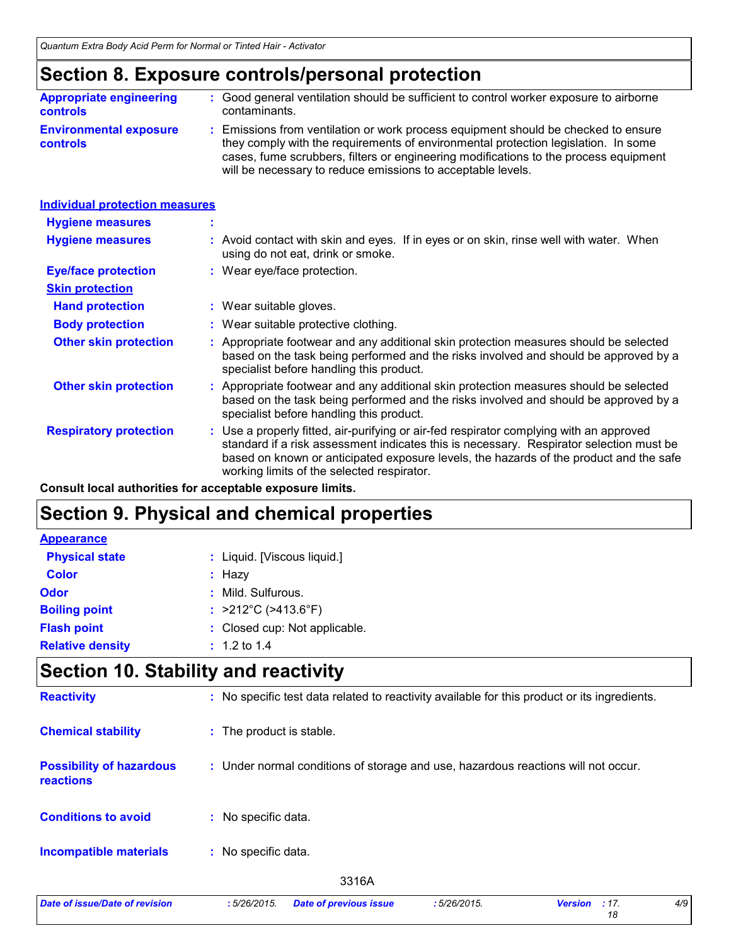# **Section 8. Exposure controls/personal protection**

| <b>Appropriate engineering</b>                   | : Good general ventilation should be sufficient to control worker exposure to airborne                                                                                                                                                                                                                                          |
|--------------------------------------------------|---------------------------------------------------------------------------------------------------------------------------------------------------------------------------------------------------------------------------------------------------------------------------------------------------------------------------------|
| <b>controls</b>                                  | contaminants.                                                                                                                                                                                                                                                                                                                   |
| <b>Environmental exposure</b><br><b>controls</b> | : Emissions from ventilation or work process equipment should be checked to ensure<br>they comply with the requirements of environmental protection legislation. In some<br>cases, fume scrubbers, filters or engineering modifications to the process equipment<br>will be necessary to reduce emissions to acceptable levels. |

| <b>Individual protection measures</b> |    |                                                                                                                                                                                                                                                                                                                            |
|---------------------------------------|----|----------------------------------------------------------------------------------------------------------------------------------------------------------------------------------------------------------------------------------------------------------------------------------------------------------------------------|
| <b>Hygiene measures</b>               | ×. |                                                                                                                                                                                                                                                                                                                            |
| <b>Hygiene measures</b>               |    | : Avoid contact with skin and eyes. If in eyes or on skin, rinse well with water. When<br>using do not eat, drink or smoke.                                                                                                                                                                                                |
| <b>Eye/face protection</b>            |    | : Wear eye/face protection.                                                                                                                                                                                                                                                                                                |
| <b>Skin protection</b>                |    |                                                                                                                                                                                                                                                                                                                            |
| <b>Hand protection</b>                |    | : Wear suitable gloves.                                                                                                                                                                                                                                                                                                    |
| <b>Body protection</b>                |    | : Wear suitable protective clothing.                                                                                                                                                                                                                                                                                       |
| <b>Other skin protection</b>          |    | : Appropriate footwear and any additional skin protection measures should be selected<br>based on the task being performed and the risks involved and should be approved by a<br>specialist before handling this product.                                                                                                  |
| <b>Other skin protection</b>          |    | : Appropriate footwear and any additional skin protection measures should be selected<br>based on the task being performed and the risks involved and should be approved by a<br>specialist before handling this product.                                                                                                  |
| <b>Respiratory protection</b>         |    | : Use a properly fitted, air-purifying or air-fed respirator complying with an approved<br>standard if a risk assessment indicates this is necessary. Respirator selection must be<br>based on known or anticipated exposure levels, the hazards of the product and the safe<br>working limits of the selected respirator. |

**Consult local authorities for acceptable exposure limits.**

# **Section 9. Physical and chemical properties**

| <b>Appearance</b>       |                                          |
|-------------------------|------------------------------------------|
| <b>Physical state</b>   | : Liquid. [Viscous liquid.]              |
| <b>Color</b>            | $:$ Hazy                                 |
| <b>Odor</b>             | : Mild. Sulfurous.                       |
| <b>Boiling point</b>    | : $>212^{\circ}$ C ( $>413.6^{\circ}$ F) |
| <b>Flash point</b>      | : Closed cup: Not applicable.            |
| <b>Relative density</b> | $: 1.2 \text{ to } 1.4$                  |

# **Section 10. Stability and reactivity**

| <b>Reactivity</b>                                   | : No specific test data related to reactivity available for this product or its ingredients. |     |
|-----------------------------------------------------|----------------------------------------------------------------------------------------------|-----|
| <b>Chemical stability</b>                           | : The product is stable.                                                                     |     |
| <b>Possibility of hazardous</b><br><b>reactions</b> | : Under normal conditions of storage and use, hazardous reactions will not occur.            |     |
| <b>Conditions to avoid</b>                          | : No specific data.                                                                          |     |
| <b>Incompatible materials</b>                       | : No specific data.                                                                          |     |
|                                                     | 3316A                                                                                        |     |
| Date of issue/Date of revision                      | :5/26/2015.<br><b>Date of previous issue</b><br>:5/26/2015.<br><b>Version</b><br>: 17.<br>18 | 4/9 |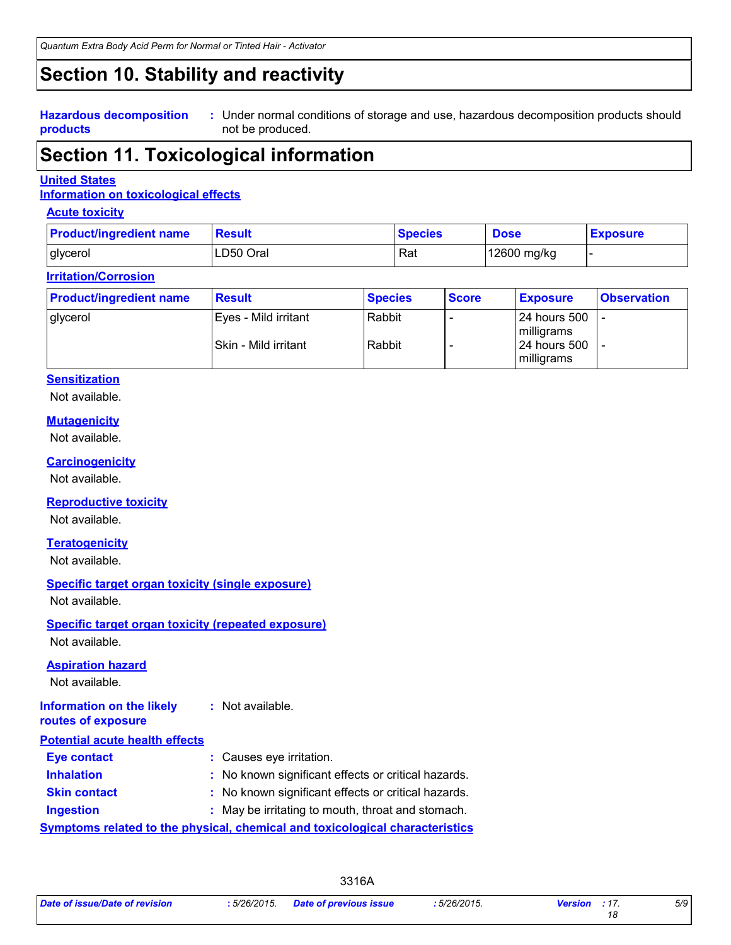### **Section 10. Stability and reactivity**

**Hazardous decomposition products**

Under normal conditions of storage and use, hazardous decomposition products should **:** not be produced.

### **Section 11. Toxicological information**

#### **United States**

### **Information on toxicological effects**

#### **Acute toxicity**

| <b>Product/ingredient name</b> | Result    | <b>Species</b> | <b>Dose</b> | <b>Exposure</b> |
|--------------------------------|-----------|----------------|-------------|-----------------|
| glycerol                       | LD50 Oral | Rat            | 12600 mg/kg |                 |

#### **Irritation/Corrosion**

| <b>Product/ingredient name</b> | <b>Result</b>          | <b>Species</b> | <b>Score</b> | <b>Exposure</b>                      | <b>Observation</b> |
|--------------------------------|------------------------|----------------|--------------|--------------------------------------|--------------------|
| glycerol                       | l Eves - Mild irritant | Rabbit         |              | 124 hours 500<br>milligrams          |                    |
|                                | l Skin - Mild irritant | Rabbit         |              | 124 hours 500<br><b>I</b> milligrams |                    |

#### **Sensitization**

Not available.

#### **Mutagenicity**

Not available.

#### **Carcinogenicity**

Not available.

#### **Reproductive toxicity**

Not available.

#### **Teratogenicity**

Not available.

### **Specific target organ toxicity (single exposure)**

Not available.

#### **Specific target organ toxicity (repeated exposure)**

Not available.

#### **Aspiration hazard**

Not available.

| Information on the likely             | : Not available. |
|---------------------------------------|------------------|
| routes of exposure                    |                  |
| <b>Potential acute health effects</b> |                  |
|                                       |                  |

| <b>Eye contact</b>  | : Causes eye irritation.                                                            |
|---------------------|-------------------------------------------------------------------------------------|
| <b>Inhalation</b>   | : No known significant effects or critical hazards.                                 |
| <b>Skin contact</b> | : No known significant effects or critical hazards.                                 |
| <b>Ingestion</b>    | : May be irritating to mouth, throat and stomach.                                   |
|                     | <b>Symptoms related to the physical, chemical and toxicological characteristics</b> |

*5/9*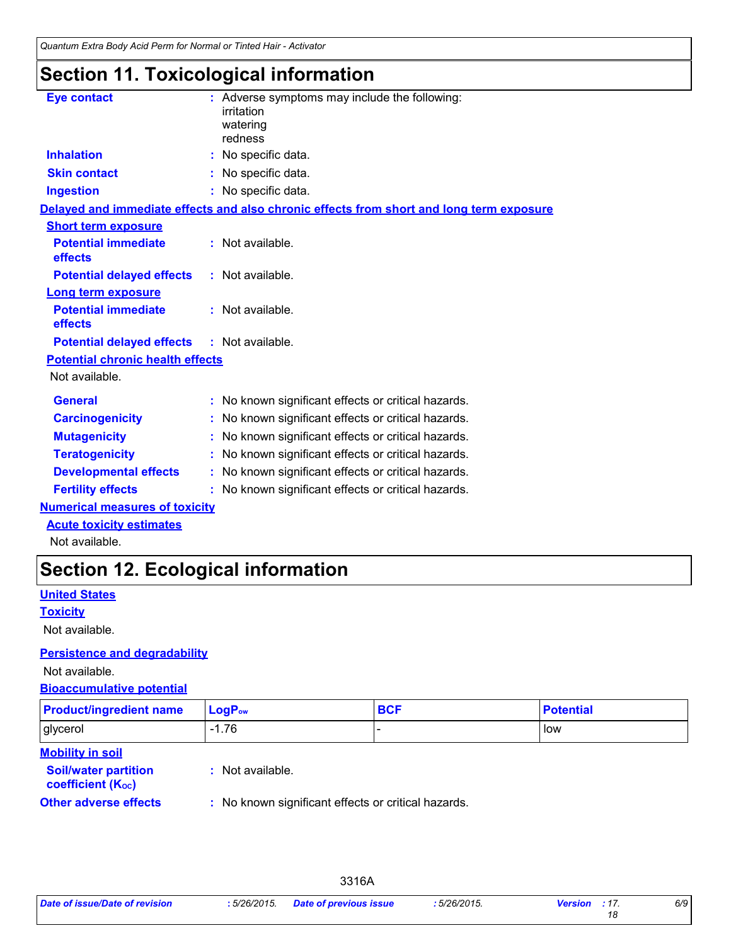# **Section 11. Toxicological information**

| <b>Eye contact</b>                      | : Adverse symptoms may include the following:<br>irritation<br>watering<br>redness       |  |
|-----------------------------------------|------------------------------------------------------------------------------------------|--|
| <b>Inhalation</b>                       | : No specific data.                                                                      |  |
| <b>Skin contact</b>                     | : No specific data.                                                                      |  |
| <b>Ingestion</b>                        | : No specific data.                                                                      |  |
|                                         | Delayed and immediate effects and also chronic effects from short and long term exposure |  |
| <b>Short term exposure</b>              |                                                                                          |  |
| <b>Potential immediate</b><br>effects   | : Not available.                                                                         |  |
| <b>Potential delayed effects</b>        | : Not available.                                                                         |  |
| <b>Long term exposure</b>               |                                                                                          |  |
| <b>Potential immediate</b><br>effects   | : Not available.                                                                         |  |
| <b>Potential delayed effects</b>        | : Not available.                                                                         |  |
| <b>Potential chronic health effects</b> |                                                                                          |  |
| Not available.                          |                                                                                          |  |
| <b>General</b>                          | : No known significant effects or critical hazards.                                      |  |
| <b>Carcinogenicity</b>                  | : No known significant effects or critical hazards.                                      |  |
| <b>Mutagenicity</b>                     | : No known significant effects or critical hazards.                                      |  |
| <b>Teratogenicity</b>                   | : No known significant effects or critical hazards.                                      |  |
| <b>Developmental effects</b>            | : No known significant effects or critical hazards.                                      |  |
| <b>Fertility effects</b>                | : No known significant effects or critical hazards.                                      |  |
|                                         |                                                                                          |  |

### **Numerical measures of toxicity**

**Acute toxicity estimates**

Not available.

# **Section 12. Ecological information**

### **United States**

**Toxicity**

Not available.

#### **Persistence and degradability**

Not available.

### **Bioaccumulative potential**

| <b>Product/ingredient name</b>                                                     | $LogP_{ow}$      | <b>BCF</b> | <b>Potential</b> |
|------------------------------------------------------------------------------------|------------------|------------|------------------|
| glycerol                                                                           | $-1.76$          |            | low              |
| <b>Mobility in soil</b><br><b>Soil/water partition</b><br><b>coefficient (Koc)</b> | : Not available. |            |                  |

**Other adverse effects** : No known significant effects or critical hazards.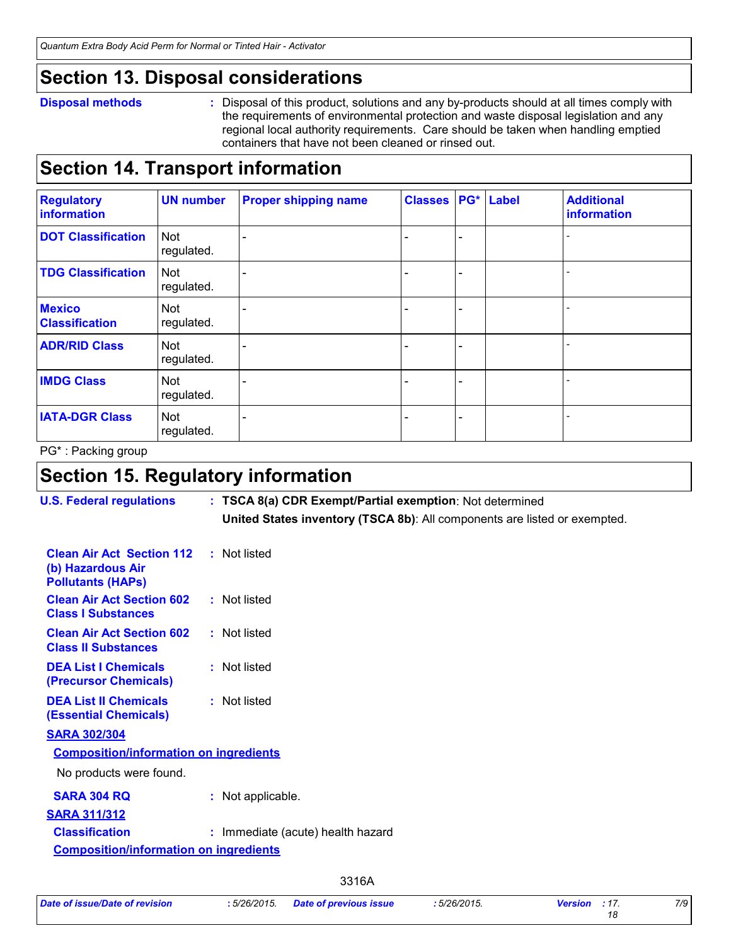### **Section 13. Disposal considerations**

#### **Disposal methods :**

Disposal of this product, solutions and any by-products should at all times comply with the requirements of environmental protection and waste disposal legislation and any regional local authority requirements. Care should be taken when handling emptied containers that have not been cleaned or rinsed out.

### **Section 14. Transport information**

| <b>Regulatory</b><br>information       | <b>UN number</b>         | <b>Proper shipping name</b> | <b>Classes PG* Label</b> |  | <b>Additional</b><br>information |
|----------------------------------------|--------------------------|-----------------------------|--------------------------|--|----------------------------------|
| <b>DOT Classification</b>              | <b>Not</b><br>regulated. |                             |                          |  |                                  |
| <b>TDG Classification</b>              | Not<br>regulated.        |                             |                          |  |                                  |
| <b>Mexico</b><br><b>Classification</b> | Not<br>regulated.        |                             |                          |  |                                  |
| <b>ADR/RID Class</b>                   | <b>Not</b><br>regulated. |                             |                          |  |                                  |
| <b>IMDG Class</b>                      | Not<br>regulated.        |                             |                          |  |                                  |
| <b>IATA-DGR Class</b>                  | Not<br>regulated.        |                             |                          |  |                                  |

PG\* : Packing group

# **Section 15. Regulatory information**

| <b>U.S. Federal regulations</b>                                                   | : TSCA 8(a) CDR Exempt/Partial exemption: Not determined<br>United States inventory (TSCA 8b): All components are listed or exempted. |
|-----------------------------------------------------------------------------------|---------------------------------------------------------------------------------------------------------------------------------------|
| <b>Clean Air Act Section 112</b><br>(b) Hazardous Air<br><b>Pollutants (HAPS)</b> | : Not listed                                                                                                                          |
| <b>Clean Air Act Section 602</b><br><b>Class I Substances</b>                     | : Not listed                                                                                                                          |
| <b>Clean Air Act Section 602</b><br><b>Class II Substances</b>                    | : Not listed                                                                                                                          |
| <b>DEA List I Chemicals</b><br>(Precursor Chemicals)                              | : Not listed                                                                                                                          |
| <b>DEA List II Chemicals</b><br><b>(Essential Chemicals)</b>                      | : Not listed                                                                                                                          |
| <b>SARA 302/304</b>                                                               |                                                                                                                                       |
| <b>Composition/information on ingredients</b>                                     |                                                                                                                                       |
| No products were found.                                                           |                                                                                                                                       |
| <b>SARA 304 RQ</b>                                                                | : Not applicable.                                                                                                                     |
| <b>SARA 311/312</b>                                                               |                                                                                                                                       |
| <b>Classification</b>                                                             | : Immediate (acute) health hazard                                                                                                     |
| <b>Composition/information on ingredients</b>                                     |                                                                                                                                       |
|                                                                                   | 3316A                                                                                                                                 |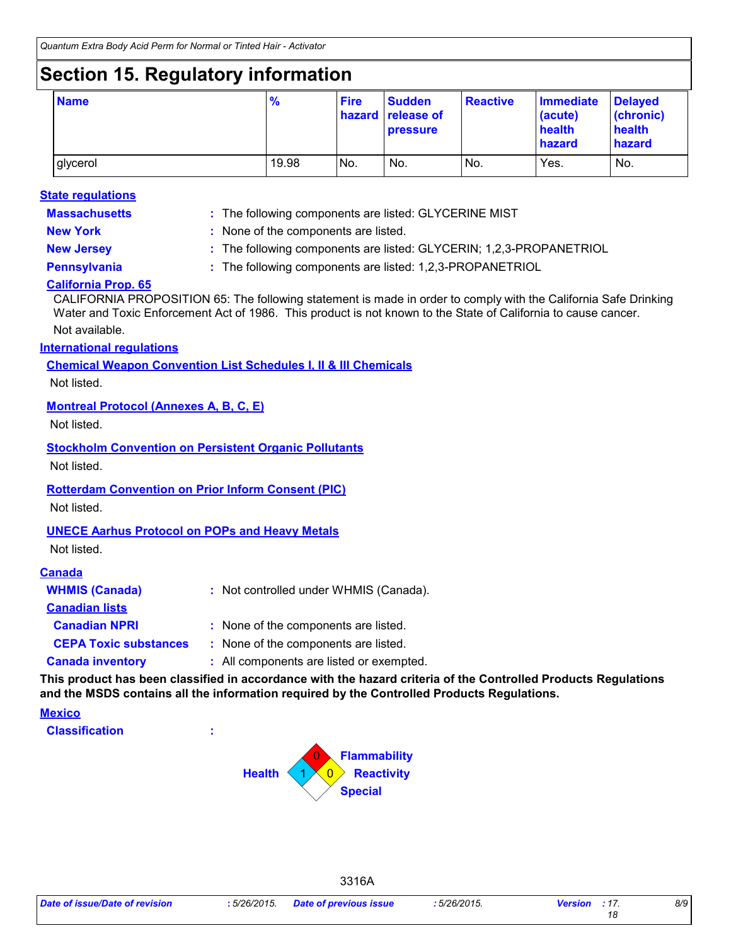# **Section 15. Regulatory information**

| <b>Name</b> | $\frac{9}{6}$ | <b>Fire</b> | <b>Sudden</b><br>hazard release of<br><b>pressure</b> | <b>Reactive</b> | Immediate<br>(acute)<br>health<br>hazard | <b>Delayed</b><br>(chronic)<br>health<br>hazard |
|-------------|---------------|-------------|-------------------------------------------------------|-----------------|------------------------------------------|-------------------------------------------------|
| glycerol    | 19.98         | No.         | No.                                                   | No.             | Yes.                                     | No.                                             |

#### **State regulations**

**Massachusetts :**

The following components are listed: GLYCERINE MIST

**New York :** None of the components are listed. **New Jersey :** The following components are listed: GLYCERIN; 1,2,3-PROPANETRIOL

**Pennsylvania :** The following components are listed: 1,2,3-PROPANETRIOL

### **California Prop. 65**

CALIFORNIA PROPOSITION 65: The following statement is made in order to comply with the California Safe Drinking Water and Toxic Enforcement Act of 1986. This product is not known to the State of California to cause cancer.

Not available.

### **International regulations**

**Chemical Weapon Convention List Schedules I, II & III Chemicals**

Not listed.

### **Montreal Protocol (Annexes A, B, C, E)**

Not listed.

**Stockholm Convention on Persistent Organic Pollutants**

Not listed.

### **Rotterdam Convention on Prior Inform Consent (PIC)**

Not listed.

### **UNECE Aarhus Protocol on POPs and Heavy Metals**

Not listed.

#### **Canada**

| <b>WHMIS (Canada)</b>        | : Not controlled under WHMIS (Canada).   |
|------------------------------|------------------------------------------|
| <b>Canadian lists</b>        |                                          |
| <b>Canadian NPRI</b>         | : None of the components are listed.     |
| <b>CEPA Toxic substances</b> | : None of the components are listed.     |
| <b>Canada inventory</b>      | : All components are listed or exempted. |
|                              |                                          |

**This product has been classified in accordance with the hazard criteria of the Controlled Products Regulations and the MSDS contains all the information required by the Controlled Products Regulations.**

3316A

#### **Mexico**

**Classification :**



*18*